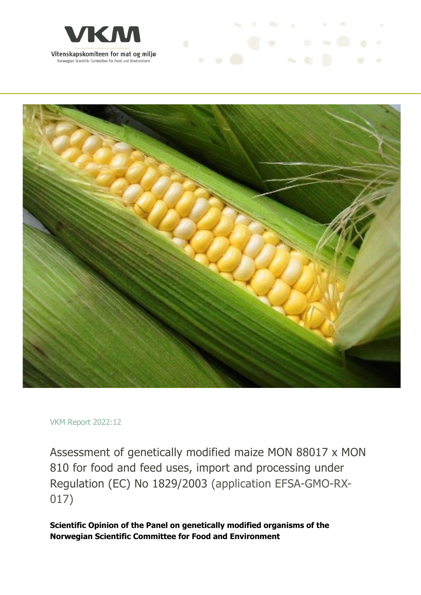



and the first process of the con-

## VKM Report 2022:12

Assessment of genetically modified maize MON 88017 x MON 810 for food and feed uses, import and processing under Regulation (EC) No 1829/2003 (application EFSA-GMO-RX-017)

**Scientific Opinion of the Panel on genetically modified organisms of the Norwegian Scientific Committee for Food and Environment**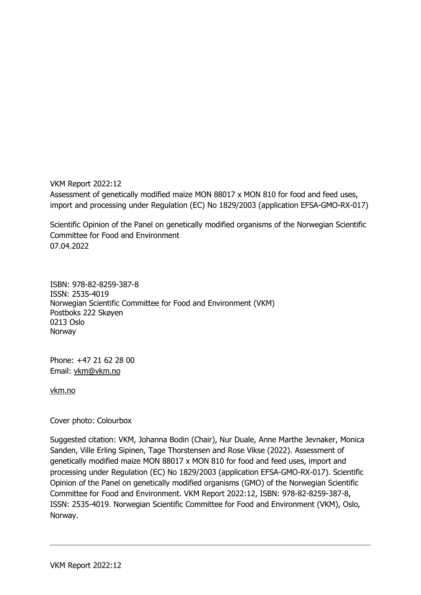VKM Report 2022:12 Assessment of genetically modified maize MON 88017 x MON 810 for food and feed uses, import and processing under Regulation (EC) No 1829/2003 (application EFSA-GMO-RX-017)

Scientific Opinion of the Panel on genetically modified organisms of the Norwegian Scientific Committee for Food and Environment 07.04.2022

ISBN: 978-82-8259-387-8 ISSN: 2535-4019 Norwegian Scientific Committee for Food and Environment (VKM) Postboks 222 Skøyen 0213 Oslo Norway

Phone: +47 21 62 28 00 Email: vkm@vkm.no

vkm.no

## Cover photo: Colourbox

Suggested citation: VKM, Johanna Bodin (Chair), Nur Duale, Anne Marthe Jevnaker, Monica Sanden, Ville Erling Sipinen, Tage Thorstensen and Rose Vikse (2022). Assessment of genetically modified maize MON 88017 x MON 810 for food and feed uses, import and processing under Regulation (EC) No 1829/2003 (application EFSA-GMO-RX-017). Scientific Opinion of the Panel on genetically modified organisms (GMO) of the Norwegian Scientific Committee for Food and Environment. VKM Report 2022:12, ISBN: 978-82-8259-387-8, ISSN: 2535-4019. Norwegian Scientific Committee for Food and Environment (VKM), Oslo, Norway.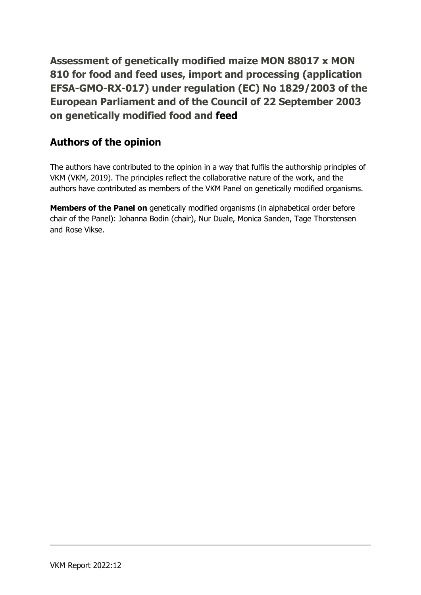**Assessment of genetically modified maize MON 88017 x MON 810 for food and feed uses, import and processing (application EFSA-GMO-RX-017) under regulation (EC) No 1829/2003 of the European Parliament and of the Council of 22 September 2003 on genetically modified food and feed**

## **Authors of the opinion**

The authors have contributed to the opinion in a way that fulfils the authorship principles of VKM (VKM, 2019). The principles reflect the collaborative nature of the work, and the authors have contributed as members of the VKM Panel on genetically modified organisms.

**Members of the Panel on** genetically modified organisms (in alphabetical order before chair of the Panel): Johanna Bodin (chair), Nur Duale, Monica Sanden, Tage Thorstensen and Rose Vikse.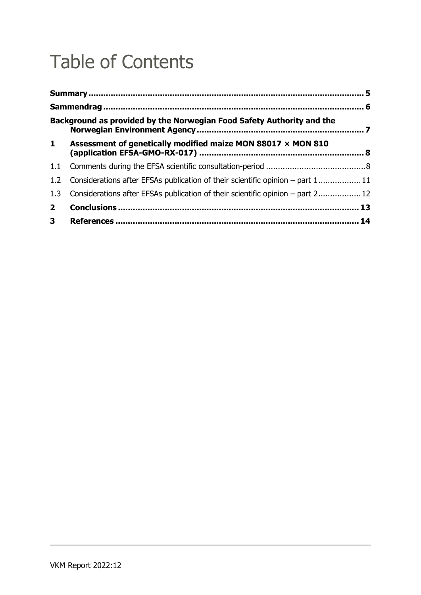# Table of Contents

|                  | Background as provided by the Norwegian Food Safety Authority and the          |  |
|------------------|--------------------------------------------------------------------------------|--|
| $\mathbf{1}$     | Assessment of genetically modified maize MON 88017 $\times$ MON 810            |  |
| 1.1              |                                                                                |  |
| 1.2 <sub>1</sub> | Considerations after EFSAs publication of their scientific opinion – part 1 11 |  |
| 1.3              | Considerations after EFSAs publication of their scientific opinion – part 2 12 |  |
| 2 <sup>1</sup>   |                                                                                |  |
| 3 <sup>7</sup>   |                                                                                |  |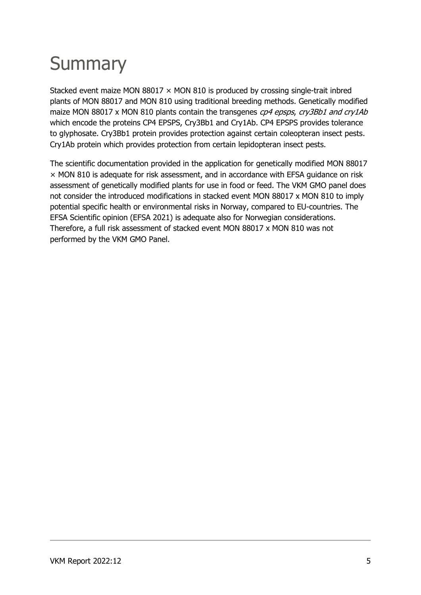# **Summary**

Stacked event maize MON 88017  $\times$  MON 810 is produced by crossing single-trait inbred plants of MON 88017 and MON 810 using traditional breeding methods. Genetically modified maize MON 88017 x MON 810 plants contain the transgenes cp4 epsps, cry3Bb1 and cry1Ab which encode the proteins CP4 EPSPS, Cry3Bb1 and Cry1Ab. CP4 EPSPS provides tolerance to glyphosate. Cry3Bb1 protein provides protection against certain coleopteran insect pests. Cry1Ab protein which provides protection from certain lepidopteran insect pests.

The scientific documentation provided in the application for genetically modified MON 88017 × MON 810 is adequate for risk assessment, and in accordance with EFSA guidance on risk assessment of genetically modified plants for use in food or feed. The VKM GMO panel does not consider the introduced modifications in stacked event MON 88017 x MON 810 to imply potential specific health or environmental risks in Norway, compared to EU-countries. The EFSA Scientific opinion (EFSA 2021) is adequate also for Norwegian considerations. Therefore, a full risk assessment of stacked event MON 88017 x MON 810 was not performed by the VKM GMO Panel.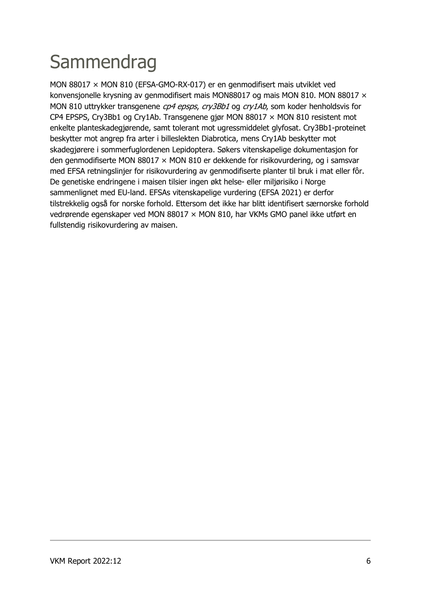# **Sammendrag**

MON 88017 × MON 810 (EFSA-GMO-RX-017) er en genmodifisert mais utviklet ved konvensjonelle krysning av genmodifisert mais MON88017 og mais MON 810. MON 88017 × MON 810 uttrykker transgenene cp4 epsps, cry3Bb1 og cry1Ab, som koder henholdsvis for CP4 EPSPS, Cry3Bb1 og Cry1Ab. Transgenene gjør MON 88017 × MON 810 resistent mot enkelte planteskadegjørende, samt tolerant mot ugressmiddelet glyfosat. Cry3Bb1-proteinet beskytter mot angrep fra arter i billeslekten Diabrotica, mens Cry1Ab beskytter mot skadegjørere i sommerfuglordenen Lepidoptera. Søkers vitenskapelige dokumentasjon for den genmodifiserte MON 88017 × MON 810 er dekkende for risikovurdering, og i samsvar med EFSA retningslinjer for risikovurdering av genmodifiserte planter til bruk i mat eller fôr. De genetiske endringene i maisen tilsier ingen økt helse- eller miljørisiko i Norge sammenlignet med EU-land. EFSAs vitenskapelige vurdering (EFSA 2021) er derfor tilstrekkelig også for norske forhold. Ettersom det ikke har blitt identifisert særnorske forhold vedrørende egenskaper ved MON 88017 × MON 810, har VKMs GMO panel ikke utført en fullstendig risikovurdering av maisen.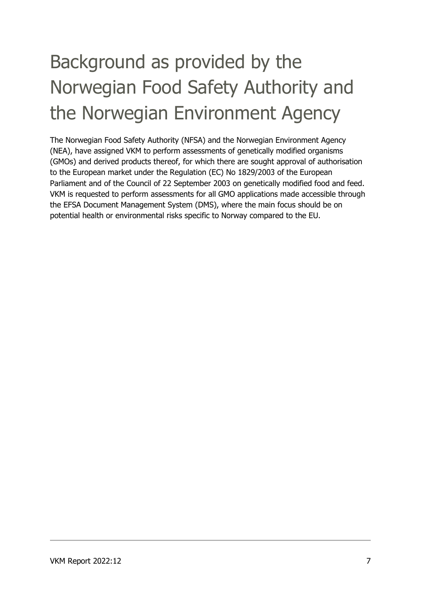# Background as provided by the Norwegian Food Safety Authority and the Norwegian Environment Agency

The Norwegian Food Safety Authority (NFSA) and the Norwegian Environment Agency (NEA), have assigned VKM to perform assessments of genetically modified organisms (GMOs) and derived products thereof, for which there are sought approval of authorisation to the European market under the Regulation (EC) No 1829/2003 of the European Parliament and of the Council of 22 September 2003 on genetically modified food and feed. VKM is requested to perform assessments for all GMO applications made accessible through the EFSA Document Management System (DMS), where the main focus should be on potential health or environmental risks specific to Norway compared to the EU.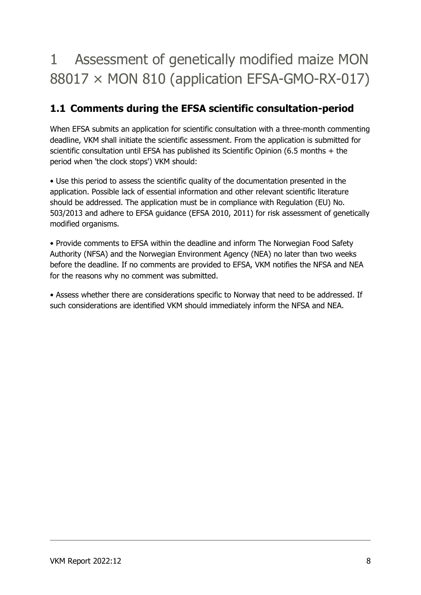## 1 Assessment of genetically modified maize MON 88017 × MON 810 (application EFSA-GMO-RX-017)

## **1.1 Comments during the EFSA scientific consultation-period**

When EFSA submits an application for scientific consultation with a three-month commenting deadline, VKM shall initiate the scientific assessment. From the application is submitted for scientific consultation until EFSA has published its Scientific Opinion (6.5 months + the period when 'the clock stops') VKM should:

• Use this period to assess the scientific quality of the documentation presented in the application. Possible lack of essential information and other relevant scientific literature should be addressed. The application must be in compliance with Regulation (EU) No. 503/2013 and adhere to EFSA guidance (EFSA 2010, 2011) for risk assessment of genetically modified organisms.

• Provide comments to EFSA within the deadline and inform The Norwegian Food Safety Authority (NFSA) and the Norwegian Environment Agency (NEA) no later than two weeks before the deadline. If no comments are provided to EFSA, VKM notifies the NFSA and NEA for the reasons why no comment was submitted.

• Assess whether there are considerations specific to Norway that need to be addressed. If such considerations are identified VKM should immediately inform the NFSA and NEA.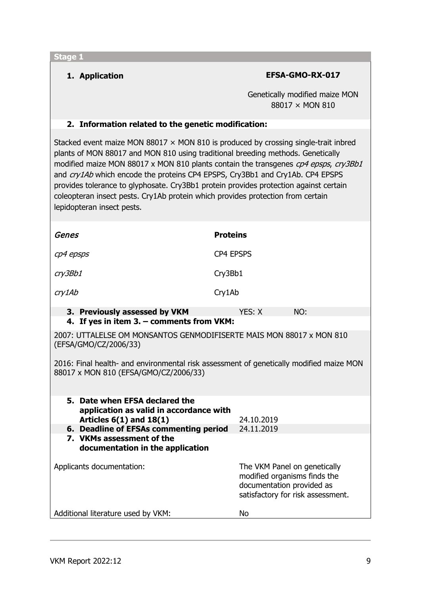## **1. Application EFSA-GMO-RX-017**

Genetically modified maize MON 88017 × MON 810

### **2. Information related to the genetic modification:**

Stacked event maize MON 88017  $\times$  MON 810 is produced by crossing single-trait inbred plants of MON 88017 and MON 810 using traditional breeding methods. Genetically modified maize MON 88017 x MON 810 plants contain the transgenes  $cp4$  epsps,  $cry3Bb1$ and cry1Ab which encode the proteins CP4 EPSPS, Cry3Bb1 and Cry1Ab. CP4 EPSPS provides tolerance to glyphosate. Cry3Bb1 protein provides protection against certain coleopteran insect pests. Cry1Ab protein which provides protection from certain lepidopteran insect pests.

| Genes                         | <b>Proteins</b> |     |  |  |
|-------------------------------|-----------------|-----|--|--|
| cp4 epsps                     | CP4 EPSPS       |     |  |  |
| cry3Bb1                       | Cry3Bb1         |     |  |  |
| cry1Ab                        | Cry1Ab          |     |  |  |
| 3. Previously assessed by VKM | YES: X          | NO: |  |  |

## **4. If yes in item 3. – comments from VKM:**

2007: UTTALELSE OM MONSANTOS GENMODIFISERTE MAIS MON 88017 x MON 810 (EFSA/GMO/CZ/2006/33)

2016: Final health- and environmental risk assessment of genetically modified maize MON 88017 x MON 810 (EFSA/GMO/CZ/2006/33)

| 5. Date when EFSA declared the<br>application as valid in accordance with<br>Articles $6(1)$ and $18(1)$ | 24.10.2019                                                                                                                     |
|----------------------------------------------------------------------------------------------------------|--------------------------------------------------------------------------------------------------------------------------------|
| 6. Deadline of EFSAs commenting period                                                                   | 24.11.2019                                                                                                                     |
| 7. VKMs assessment of the<br>documentation in the application                                            |                                                                                                                                |
| Applicants documentation:                                                                                | The VKM Panel on genetically<br>modified organisms finds the<br>documentation provided as<br>satisfactory for risk assessment. |
| Additional literature used by VKM:                                                                       | Nο                                                                                                                             |
|                                                                                                          |                                                                                                                                |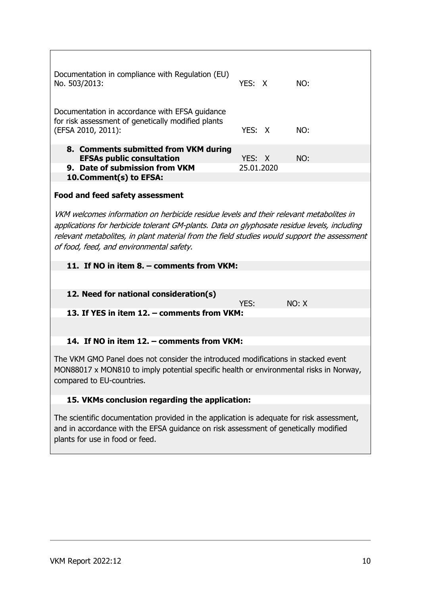| Documentation in compliance with Regulation (EU)<br>No. 503/2013:                                                                                                                                                                                                                                                                | YES: X |            | NO:   |
|----------------------------------------------------------------------------------------------------------------------------------------------------------------------------------------------------------------------------------------------------------------------------------------------------------------------------------|--------|------------|-------|
| Documentation in accordance with EFSA guidance<br>for risk assessment of genetically modified plants<br>(EFSA 2010, 2011):                                                                                                                                                                                                       | YES: X |            | NO:   |
| 8. Comments submitted from VKM during                                                                                                                                                                                                                                                                                            |        |            |       |
| <b>EFSAs public consultation</b>                                                                                                                                                                                                                                                                                                 | YES: X |            | NO:   |
| 9. Date of submission from VKM<br>10. Comment(s) to EFSA:                                                                                                                                                                                                                                                                        |        | 25.01.2020 |       |
|                                                                                                                                                                                                                                                                                                                                  |        |            |       |
| <b>Food and feed safety assessment</b>                                                                                                                                                                                                                                                                                           |        |            |       |
| VKM welcomes information on herbicide residue levels and their relevant metabolites in<br>applications for herbicide tolerant GM-plants. Data on glyphosate residue levels, including<br>relevant metabolites, in plant material from the field studies would support the assessment<br>of food, feed, and environmental safety. |        |            |       |
| 11. If NO in item 8. - comments from VKM:                                                                                                                                                                                                                                                                                        |        |            |       |
|                                                                                                                                                                                                                                                                                                                                  |        |            |       |
| 12. Need for national consideration(s)                                                                                                                                                                                                                                                                                           |        |            |       |
|                                                                                                                                                                                                                                                                                                                                  | YES:   |            | NO: X |
| 13. If YES in item 12. - comments from VKM:                                                                                                                                                                                                                                                                                      |        |            |       |
|                                                                                                                                                                                                                                                                                                                                  |        |            |       |
| 14. If NO in item 12. - comments from VKM:                                                                                                                                                                                                                                                                                       |        |            |       |
|                                                                                                                                                                                                                                                                                                                                  |        |            |       |
| The VKM GMO Panel does not consider the introduced modifications in stacked event<br>MON88017 x MON810 to imply potential specific health or environmental risks in Norway,<br>compared to EU-countries.                                                                                                                         |        |            |       |
| 15. VKMs conclusion regarding the application:                                                                                                                                                                                                                                                                                   |        |            |       |
|                                                                                                                                                                                                                                                                                                                                  |        |            |       |
| The scientific documentation provided in the application is adequate for risk assessment,<br>and in accordance with the EFSA guidance on risk assessment of genetically modified<br>plants for use in food or feed.                                                                                                              |        |            |       |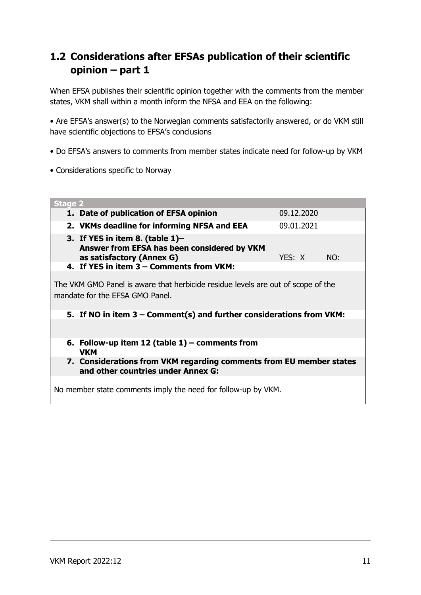## **1.2 Considerations after EFSAs publication of their scientific opinion – part 1**

When EFSA publishes their scientific opinion together with the comments from the member states, VKM shall within a month inform the NFSA and EEA on the following:

• Are EFSA's answer(s) to the Norwegian comments satisfactorily answered, or do VKM still have scientific objections to EFSA's conclusions

- Do EFSA's answers to comments from member states indicate need for follow-up by VKM
- Considerations specific to Norway

| <b>Stage 2</b>                                                                                                                                                                                |            |     |  |  |
|-----------------------------------------------------------------------------------------------------------------------------------------------------------------------------------------------|------------|-----|--|--|
| 1. Date of publication of EFSA opinion                                                                                                                                                        | 09.12.2020 |     |  |  |
| 2. VKMs deadline for informing NFSA and EEA                                                                                                                                                   | 09.01.2021 |     |  |  |
| 3. If YES in item 8. (table $1$ )–<br>Answer from EFSA has been considered by VKM<br>as satisfactory (Annex G)                                                                                | YES: X     | NO: |  |  |
| 4. If YES in item 3 – Comments from VKM:                                                                                                                                                      |            |     |  |  |
| The VKM GMO Panel is aware that herbicide residue levels are out of scope of the<br>mandate for the EFSA GMO Panel.<br>5. If NO in item $3$ – Comment(s) and further considerations from VKM: |            |     |  |  |
| 6. Follow-up item 12 (table $1$ ) – comments from<br><b>VKM</b>                                                                                                                               |            |     |  |  |
| 7. Considerations from VKM regarding comments from EU member states<br>and other countries under Annex G:                                                                                     |            |     |  |  |
| No member state comments imply the need for follow-up by VKM.                                                                                                                                 |            |     |  |  |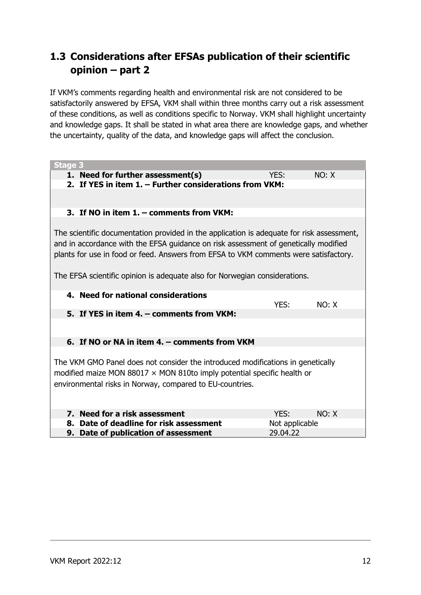## **1.3 Considerations after EFSAs publication of their scientific opinion – part 2**

If VKM's comments regarding health and environmental risk are not considered to be satisfactorily answered by EFSA, VKM shall within three months carry out a risk assessment of these conditions, as well as conditions specific to Norway. VKM shall highlight uncertainty and knowledge gaps. It shall be stated in what area there are knowledge gaps, and whether the uncertainty, quality of the data, and knowledge gaps will affect the conclusion.

| <b>Stage 3</b>                                                                            |                |       |  |
|-------------------------------------------------------------------------------------------|----------------|-------|--|
| 1. Need for further assessment(s)                                                         | YES:           | NO: X |  |
| 2. If YES in item 1. - Further considerations from VKM:                                   |                |       |  |
|                                                                                           |                |       |  |
|                                                                                           |                |       |  |
| 3. If NO in item 1. - comments from VKM:                                                  |                |       |  |
|                                                                                           |                |       |  |
| The scientific documentation provided in the application is adequate for risk assessment, |                |       |  |
| and in accordance with the EFSA guidance on risk assessment of genetically modified       |                |       |  |
| plants for use in food or feed. Answers from EFSA to VKM comments were satisfactory.      |                |       |  |
|                                                                                           |                |       |  |
| The EFSA scientific opinion is adequate also for Norwegian considerations.                |                |       |  |
|                                                                                           |                |       |  |
| 4. Need for national considerations                                                       |                |       |  |
|                                                                                           | YES:           | NO: X |  |
| 5. If YES in item 4. – comments from VKM:                                                 |                |       |  |
|                                                                                           |                |       |  |
|                                                                                           |                |       |  |
| 6. If NO or NA in item 4. – comments from VKM                                             |                |       |  |
|                                                                                           |                |       |  |
| The VKM GMO Panel does not consider the introduced modifications in genetically           |                |       |  |
| modified maize MON 88017 $\times$ MON 810to imply potential specific health or            |                |       |  |
| environmental risks in Norway, compared to EU-countries.                                  |                |       |  |
|                                                                                           |                |       |  |
|                                                                                           |                |       |  |
| 7. Need for a risk assessment                                                             | YES:           | NO: X |  |
| Date of deadline for risk assessment<br>8.                                                | Not applicable |       |  |
| 9. Date of publication of assessment                                                      | 29.04.22       |       |  |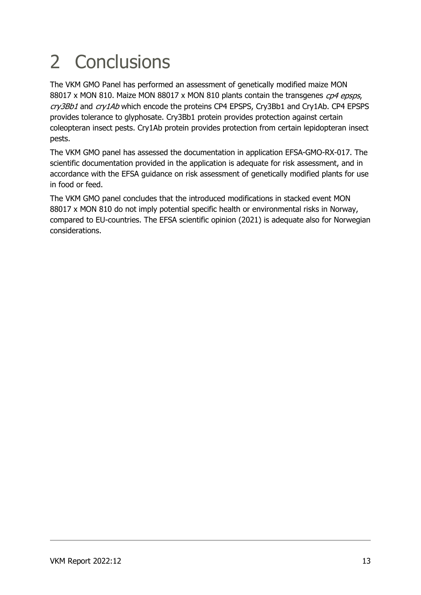# 2 Conclusions

The VKM GMO Panel has performed an assessment of genetically modified maize MON 88017 x MON 810. Maize MON 88017 x MON 810 plants contain the transgenes cp4 epsps, cry3Bb1 and cry1Ab which encode the proteins CP4 EPSPS, Cry3Bb1 and Cry1Ab. CP4 EPSPS provides tolerance to glyphosate. Cry3Bb1 protein provides protection against certain coleopteran insect pests. Cry1Ab protein provides protection from certain lepidopteran insect pests.

The VKM GMO panel has assessed the documentation in application EFSA-GMO-RX-017. The scientific documentation provided in the application is adequate for risk assessment, and in accordance with the EFSA guidance on risk assessment of genetically modified plants for use in food or feed.

The VKM GMO panel concludes that the introduced modifications in stacked event MON 88017 x MON 810 do not imply potential specific health or environmental risks in Norway, compared to EU-countries. The EFSA scientific opinion (2021) is adequate also for Norwegian considerations.